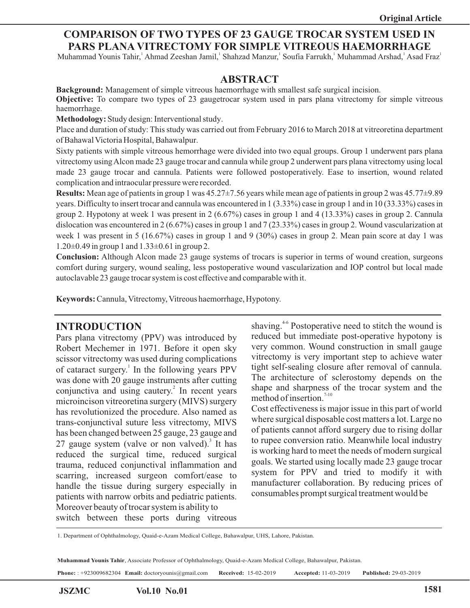### **COMPARISON OF TWO TYPES OF 23 GAUGE TROCAR SYSTEM USED IN PARS PLANA VITRECTOMY FOR SIMPLE VITREOUS HAEMORRHAGE**

Muhammad Younis Tahir, Ahmad Zeeshan Jamil, Shahzad Manzur, Soufia Farrukh, Muhammad Arshad, Asad Fraz

#### **ABSTRACT**

**Background:** Management of simple vitreous haemorrhage with smallest safe surgical incision. **Objective:** To compare two types of 23 gaugetrocar system used in pars plana vitrectomy for simple vitreous haemorrhage.

**Methodology:** Study design: Interventional study.

Place and duration of study: This study was carried out from February 2016 to March 2018 at vitreoretina department of Bahawal Victoria Hospital, Bahawalpur.

Sixty patients with simple vitreous hemorrhage were divided into two equal groups. Group 1 underwent pars plana vitrectomy using Alcon made 23 gauge trocar and cannula while group 2 underwent pars plana vitrectomy using local made 23 gauge trocar and cannula. Patients were followed postoperatively. Ease to insertion, wound related complication and intraocular pressure were recorded.

**Results:** Mean age of patients in group 1 was 45.27±7.56 years while mean age of patients in group 2 was 45.77±9.89 years. Difficulty to insert trocar and cannula was encountered in 1 (3.33%) case in group 1 and in 10 (33.33%) cases in group 2. Hypotony at week 1 was present in 2 (6.67%) cases in group 1 and 4 (13.33%) cases in group 2. Cannula dislocation was encountered in 2 (6.67%) cases in group 1 and 7 (23.33%) cases in group 2. Wound vascularization at week 1 was present in 5 (16.67%) cases in group 1 and 9 (30%) cases in group 2. Mean pain score at day 1 was  $1.20\pm0.49$  in group 1 and  $1.33\pm0.61$  in group 2.

**Conclusion:** Although Alcon made 23 gauge systems of trocars is superior in terms of wound creation, surgeons comfort during surgery, wound sealing, less postoperative wound vascularization and IOP control but local made autoclavable 23 gauge trocar system is cost effective and comparable with it.

**Keywords:** Cannula, Vitrectomy, Vitreous haemorrhage, Hypotony.

## **INTRODUCTION**

Pars plana vitrectomy (PPV) was introduced by Robert Mechemer in 1971. Before it open sky scissor vitrectomy was used during complications of cataract surgery.<sup>1</sup> In the following years PPV was done with 20 gauge instruments after cutting conjunctiva and using cautery.<sup>2</sup> In recent years microincison vitreoretina surgery (MIVS) surgery has revolutionized the procedure. Also named as trans-conjunctival suture less vitrectomy, MIVS has been changed between 25 gauge, 23 gauge and 27 gauge system (valve or non valved).<sup>3</sup> It has reduced the surgical time, reduced surgical trauma, reduced conjunctival inflammation and scarring, increased surgeon comfort/ease to handle the tissue during surgery especially in patients with narrow orbits and pediatric patients. Moreover beauty of trocar system is ability to switch between these ports during vitreous

shaving.<sup>4-6</sup> Postoperative need to stitch the wound is reduced but immediate post-operative hypotony is very common. Wound construction in small gauge vitrectomy is very important step to achieve water tight self-sealing closure after removal of cannula. The architecture of sclerostomy depends on the shape and sharpness of the trocar system and the method of insertion. $7-10$ 

Cost effectiveness is major issue in this part of world where surgical disposable cost matters a lot. Large no of patients cannot afford surgery due to rising dollar to rupee conversion ratio. Meanwhile local industry is working hard to meet the needs of modern surgical goals. We started using locally made 23 gauge trocar system for PPV and tried to modify it with manufacturer collaboration. By reducing prices of consumables prompt surgical treatment would be

1. Department of Ophthalmology, Quaid-e-Azam Medical College, Bahawalpur, UHS, Lahore, Pakistan.

**Muhammad Younis Tahir**, Associate Professor of Ophthalmology, Quaid-e-Azam Medical College, Bahawalpur, Pakistan.

**Phone:** : +923009682304 **Email:** doctoryounis@gmail.com **Received:** 15-02-2019 **Accepted:** 11-03-2019 **Published:** 29-03-2019

í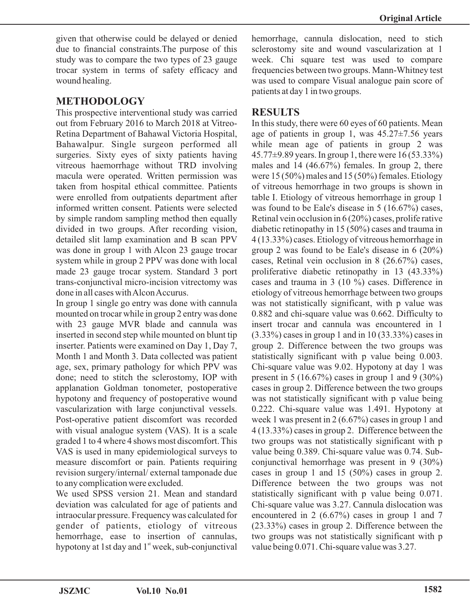given that otherwise could be delayed or denied due to financial constraints.The purpose of this study was to compare the two types of 23 gauge trocar system in terms of safety efficacy and wound healing.

## **METHODOLOGY**

This prospective interventional study was carried out from February 2016 to March 2018 at Vitreo-Retina Department of Bahawal Victoria Hospital, Bahawalpur. Single surgeon performed all surgeries. Sixty eyes of sixty patients having vitreous haemorrhage without TRD involving macula were operated. Written permission was taken from hospital ethical committee. Patients were enrolled from outpatients department after informed written consent. Patients were selected by simple random sampling method then equally divided in two groups. After recording vision, detailed slit lamp examination and B scan PPV was done in group 1 with Alcon 23 gauge trocar system while in group 2 PPV was done with local made 23 gauge trocar system. Standard 3 port trans-conjunctival micro-incision vitrectomy was done in all cases with Alcon Accurus.

In group 1 single go entry was done with cannula mounted on trocar while in group 2 entry was done with 23 gauge MVR blade and cannula was inserted in second step while mounted on blunt tip inserter. Patients were examined on Day 1, Day 7, Month 1 and Month 3. Data collected was patient age, sex, primary pathology for which PPV was done; need to stitch the sclerostomy, IOP with applanation Goldman tonometer, postoperative hypotony and frequency of postoperative wound vascularization with large conjunctival vessels. Post-operative patient discomfort was recorded with visual analogue system (VAS). It is a scale graded 1 to 4 where 4 shows most discomfort. This VAS is used in many epidemiological surveys to measure discomfort or pain. Patients requiring revision surgery/internal/ external tamponade due to any complication were excluded.

We used SPSS version 21. Mean and standard deviation was calculated for age of patients and intraocular pressure. Frequency was calculated for gender of patients, etiology of vitreous hemorrhage, ease to insertion of cannulas, hypotony at 1st day and  $1<sup>st</sup>$  week, sub-conjunctival hemorrhage, cannula dislocation, need to stich sclerostomy site and wound vascularization at 1 week. Chi square test was used to compare frequencies between two groups. Mann-Whitney test was used to compare Visual analogue pain score of patients at day 1 in two groups.

## **RESULTS**

In this study, there were 60 eyes of 60 patients. Mean age of patients in group 1, was  $45.27 \pm 7.56$  years while mean age of patients in group 2 was 45.77±9.89 years. In group 1, there were 16 (53.33%) males and 14 (46.67%) females. In group 2, there were 15 (50%) males and 15 (50%) females. Etiology of vitreous hemorrhage in two groups is shown in table I. Etiology of vitreous hemorrhage in group 1 was found to be Eale's disease in 5 (16.67%) cases, Retinal vein occlusion in 6 (20%) cases, prolife rative diabetic retinopathy in 15 (50%) cases and trauma in 4 (13.33%) cases. Etiology of vitreous hemorrhage in group 2 was found to be Eale's disease in 6 (20%) cases, Retinal vein occlusion in 8 (26.67%) cases, proliferative diabetic retinopathy in 13 (43.33%) cases and trauma in 3 (10 %) cases. Difference in etiology of vitreous hemorrhage between two groups was not statistically significant, with p value was 0.882 and chi-square value was 0.662. Difficulty to insert trocar and cannula was encountered in 1 (3.33%) cases in group 1 and in 10 (33.33%) cases in group 2. Difference between the two groups was statistically significant with p value being 0.003. Chi-square value was 9.02. Hypotony at day 1 was present in 5 (16.67%) cases in group 1 and 9 (30%) cases in group 2. Difference between the two groups was not statistically significant with p value being 0.222. Chi-square value was 1.491. Hypotony at week 1 was present in 2 (6.67%) cases in group 1 and 4 (13.33%) cases in group 2. Difference between the two groups was not statistically significant with p value being 0.389. Chi-square value was 0.74. Subconjunctival hemorrhage was present in 9 (30%) cases in group 1 and 15 (50%) cases in group 2. Difference between the two groups was not statistically significant with p value being 0.071. Chi-square value was 3.27. Cannula dislocation was encountered in 2 (6.67%) cases in group 1 and 7 (23.33%) cases in group 2. Difference between the two groups was not statistically significant with p value being 0.071. Chi-square value was 3.27.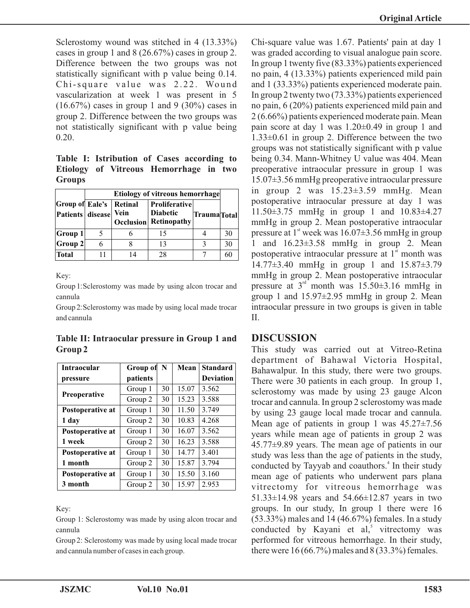Sclerostomy wound was stitched in 4 (13.33%) cases in group 1 and 8 (26.67%) cases in group 2. Difference between the two groups was not statistically significant with p value being 0.14. Chi-square value was 2.22. Wound vascularization at week 1 was present in 5  $(16.67\%)$  cases in group 1 and 9  $(30\%)$  cases in group 2. Difference between the two groups was not statistically significant with p value being 0.20.

**Table I: Istribution of Cases according to Etiology of Vitreous Hemorrhage in two Groups**

|                                            | <b>Etiology of vitreous hemorrhage</b> |                 |                                                                         |                     |    |
|--------------------------------------------|----------------------------------------|-----------------|-------------------------------------------------------------------------|---------------------|----|
| <b>Group of Eale's</b><br>Patients disease |                                        | Retinal<br>Vein | <b>Proliferative</b><br><b>Diabetic</b><br><b>Occlusion</b> Retinopathy | <b>Trauma</b> Total |    |
| Group 1                                    |                                        |                 | 15                                                                      |                     | 30 |
| <b>Group 2</b>                             |                                        |                 | 13                                                                      |                     | 30 |
| Total                                      |                                        | 14              | 28                                                                      |                     | 61 |

Key:

Group 1: Sclerostomy was made by using alcon trocar and cannula

Group 2: Sclerostomy was made by using local made trocar and cannula

**Table II: Intraocular pressure in Group 1 and Group 2**

| <b>Intraocular</b>  | Group of | $\mathbf N$ | Mean  | <b>Standard</b>  |
|---------------------|----------|-------------|-------|------------------|
| pressure            | patients |             |       | <b>Deviation</b> |
|                     | Group 1  | 30          | 15.07 | 3.562            |
| <b>Preoperative</b> | Group 2  | 30          | 15.23 | 3.588            |
| Postoperative at    | Group 1  | 30          | 11.50 | 3.749            |
| 1 day               | Group 2  | 30          | 10.83 | 4.268            |
| Postoperative at    | Group 1  | 30          | 16.07 | 3.562            |
| 1 week              | Group 2  | 30          | 16.23 | 3.588            |
| Postoperative at    | Group 1  | 30          | 14.77 | 3.401            |
| 1 month             | Group 2  | 30          | 15.87 | 3.794            |
| Postoperative at    | Group 1  | 30          | 15.50 | 3.160            |
| 3 month             | Group 2  | 30          | 15.97 | 2.953            |

Key:

Group 1: Sclerostomy was made by using alcon trocar and cannula

Group 2: Sclerostomy was made by using local made trocar and cannula number of cases in each group.

Chi-square value was 1.67. Patients' pain at day 1 was graded according to visual analogue pain score. In group 1 twenty five (83.33%) patients experienced no pain, 4 (13.33%) patients experienced mild pain and 1 (33.33%) patients experienced moderate pain. In group 2 twenty two (73.33%) patients experienced no pain, 6 (20%) patients experienced mild pain and 2 (6.66%) patients experienced moderate pain. Mean pain score at day 1 was 1.20±0.49 in group 1 and 1.33±0.61 in group 2. Difference between the two groups was not statistically significant with p value being 0.34. Mann-Whitney U value was 404. Mean preoperative intraocular pressure in group 1 was 15.07±3.56 mmHg preoperative intraocular pressure in group 2 was  $15.23 \pm 3.59$  mmHg. Mean postoperative intraocular pressure at day 1 was 11.50±3.75 mmHg in group 1 and 10.83±4.27 mmHg in group 2. Mean postoperative intraocular pressure at  $1<sup>st</sup>$  week was  $16.07\pm3.56$  mmHg in group 1 and 16.23±3.58 mmHg in group 2. Mean postoperative intraocular pressure at  $1<sup>st</sup>$  month was 14.77±3.40 mmHg in group 1 and 15.87±3.79 mmHg in group 2. Mean postoperative intraocular pressure at  $3<sup>rd</sup>$  month was 15.50 $\pm$ 3.16 mmHg in group 1 and  $15.97\pm2.95$  mmHg in group 2. Mean intraocular pressure in two groups is given in table II.

#### **DISCUSSION**

This study was carried out at Vitreo-Retina department of Bahawal Victoria Hospital, Bahawalpur. In this study, there were two groups. There were 30 patients in each group. In group 1, sclerostomy was made by using 23 gauge Alcon trocar and cannula. In group 2 sclerostomy was made by using 23 gauge local made trocar and cannula. Mean age of patients in group 1 was  $45.27 \pm 7.56$ years while mean age of patients in group 2 was 45.77±9.89 years. The mean age of patients in our study was less than the age of patients in the study, conducted by Tayyab and coauthors.<sup>4</sup> In their study mean age of patients who underwent pars plana vitrectomy for vitreous hemorrhage was 51.33±14.98 years and 54.66±12.87 years in two groups. In our study, In group 1 there were 16 (53.33%) males and 14 (46.67%) females. In a study conducted by Kayani et al,<sup>5</sup> vitrectomy was performed for vitreous hemorrhage. In their study, there were  $16 (66.7%)$  males and  $8 (33.3%)$  females.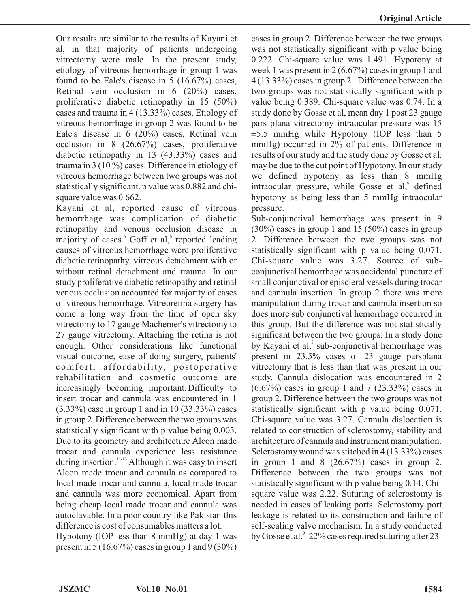Our results are similar to the results of Kayani et al, in that majority of patients undergoing vitrectomy were male. In the present study, etiology of vitreous hemorrhage in group 1 was found to be Eale's disease in 5 (16.67%) cases, Retinal vein occlusion in 6 (20%) cases, proliferative diabetic retinopathy in 15 (50%) cases and trauma in 4 (13.33%) cases. Etiology of vitreous hemorrhage in group 2 was found to be Eale's disease in 6 (20%) cases, Retinal vein occlusion in 8 (26.67%) cases, proliferative diabetic retinopathy in 13 (43.33%) cases and trauma in 3 (10 %) cases. Difference in etiology of vitreous hemorrhage between two groups was not statistically significant. p value was 0.882 and chisquare value was 0.662.

Kayani et al, reported cause of vitreous hemorrhage was complication of diabetic retinopathy and venous occlusion disease in majority of cases.<sup>5</sup> Goff et al,<sup>6</sup> reported leading causes of vitreous hemorrhage were proliferative diabetic retinopathy, vitreous detachment with or without retinal detachment and trauma. In our study proliferative diabetic retinopathy and retinal venous occlusion accounted for majority of cases of vitreous hemorrhage. Vitreoretina surgery has come a long way from the time of open sky vitrectomy to 17 gauge Machemer's vitrectomy to 27 gauge vitrectomy. Attaching the retina is not enough. Other considerations like functional visual outcome, ease of doing surgery, patients' comfort, affordability, postoperative rehabilitation and cosmetic outcome are increasingly becoming important.Difficulty to insert trocar and cannula was encountered in 1 (3.33%) case in group 1 and in 10 (33.33%) cases in group 2. Difference between the two groups was statistically significant with p value being 0.003. Due to its geometry and architecture Alcon made trocar and cannula experience less resistance during insertion.<sup>11-13</sup> Although it was easy to insert Alcon made trocar and cannula as compared to local made trocar and cannula, local made trocar and cannula was more economical. Apart from being cheap local made trocar and cannula was autoclavable. In a poor country like Pakistan this difference is cost of consumables matters a lot.

Hypotony (IOP less than 8 mmHg) at day 1 was present in  $5(16.67\%)$  cases in group 1 and  $9(30\%)$  cases in group 2. Difference between the two groups was not statistically significant with p value being 0.222. Chi-square value was 1.491. Hypotony at week 1 was present in 2 (6.67%) cases in group 1 and 4 (13.33%) cases in group 2. Difference between the two groups was not statistically significant with p value being 0.389. Chi-square value was 0.74. In a study done by Gosse et al, mean day 1 post 23 gauge pars plana vitrectomy intraocular pressure was 15  $\pm$ 5.5 mmHg while Hypotony (IOP less than 5 mmHg) occurred in 2% of patients. Difference in results of our study and the study done by Gosse et al. may be due to the cut point of Hypotony. In our study we defined hypotony as less than 8 mmHg intraocular pressure, while Gosse et al,<sup>9</sup> defined hypotony as being less than 5 mmHg intraocular pressure.

Sub-conjunctival hemorrhage was present in 9  $(30\%)$  cases in group 1 and 15 (50%) cases in group 2. Difference between the two groups was not statistically significant with p value being 0.071. Chi-square value was 3.27. Source of subconjunctival hemorrhage was accidental puncture of small conjunctival or episcleral vessels during trocar and cannula insertion. In group 2 there was more manipulation during trocar and cannula insertion so does more sub conjunctival hemorrhage occurred in this group. But the difference was not statistically significant between the two groups. In a study done by Kayani et al,<sup>5</sup> sub-conjunctival hemorrhage was present in 23.5% cases of 23 gauge parsplana vitrectomy that is less than that was present in our study. Cannula dislocation was encountered in 2 (6.67%) cases in group 1 and 7 (23.33%) cases in group 2. Difference between the two groups was not statistically significant with p value being 0.071. Chi-square value was 3.27. Cannula dislocation is related to construction of sclerostomy, stability and architecture of cannula and instrument manipulation. Sclerostomy wound was stitched in 4 (13.33%) cases in group 1 and 8  $(26.67%)$  cases in group 2. Difference between the two groups was not statistically significant with p value being 0.14. Chisquare value was 2.22. Suturing of sclerostomy is needed in cases of leaking ports. Sclerostomy port leakage is related to its construction and failure of self-sealing valve mechanism. In a study conducted by Gosse et al.<sup>9</sup> 22% cases required suturing after 23